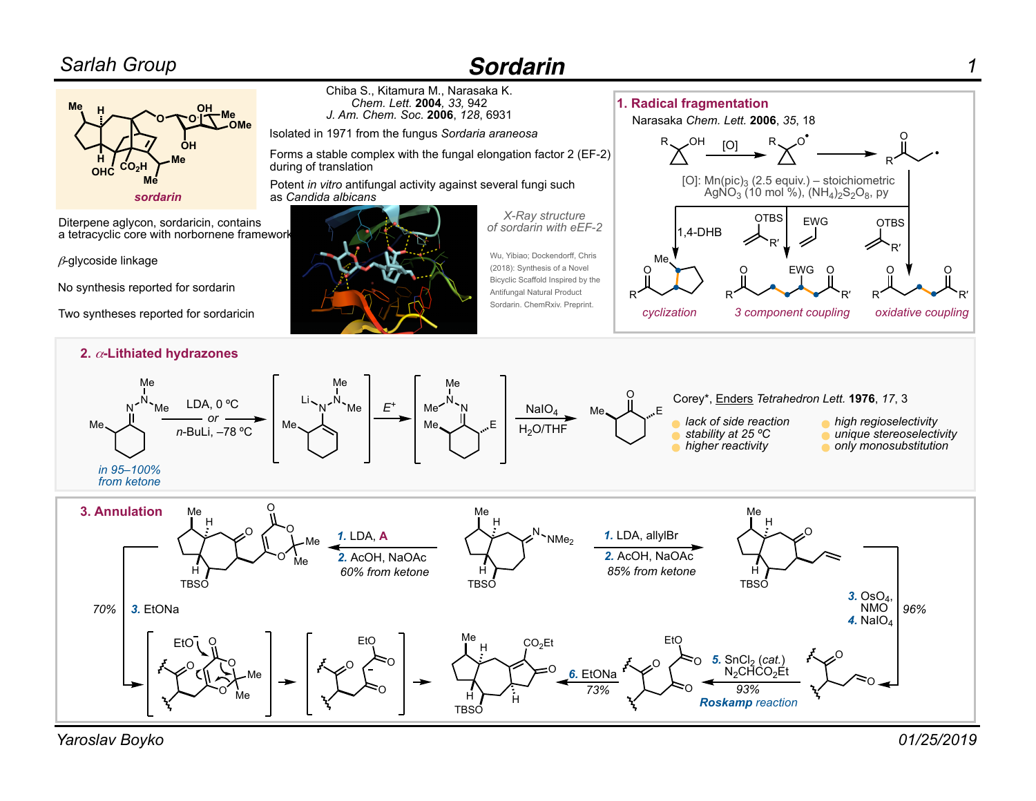## *Sarlah Group*

## *Sordarin*



*Yaroslav Boyko 01/25/2019*

*1*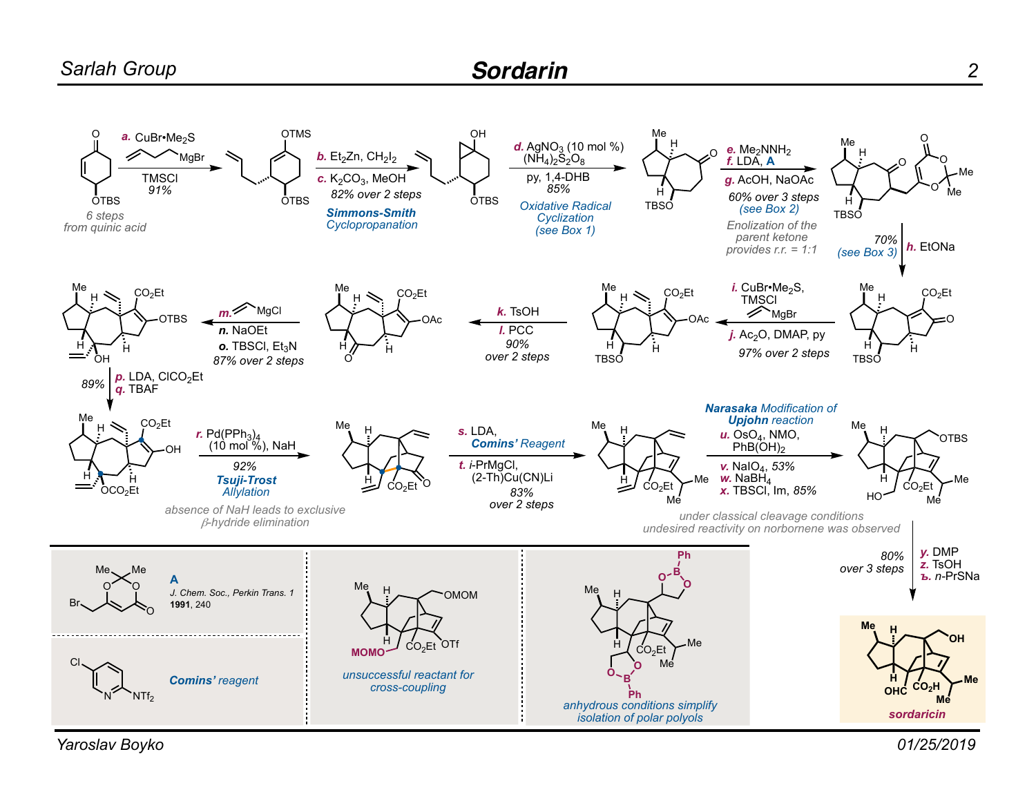

*Yaroslav Boyko*